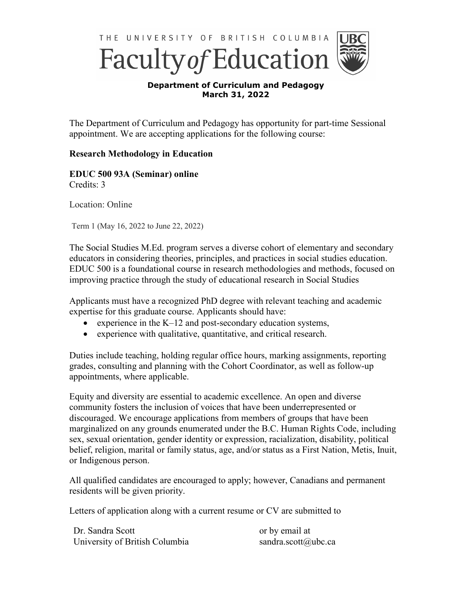

Faculty of Education



## **Department of Curriculum and Pedagogy March 31, 2022**

The Department of Curriculum and Pedagogy has opportunity for part-time Sessional appointment. We are accepting applications for the following course:

## **Research Methodology in Education**

**EDUC 500 93A (Seminar) online** Credits: 3

Location: Online

Term 1 (May 16, 2022 to June 22, 2022)

The Social Studies M.Ed. program serves a diverse cohort of elementary and secondary educators in considering theories, principles, and practices in social studies education. EDUC 500 is a foundational course in research methodologies and methods, focused on improving practice through the study of educational research in Social Studies

Applicants must have a recognized PhD degree with relevant teaching and academic expertise for this graduate course. Applicants should have:

- experience in the  $K-12$  and post-secondary education systems,
- experience with qualitative, quantitative, and critical research.

Duties include teaching, holding regular office hours, marking assignments, reporting grades, consulting and planning with the Cohort Coordinator, as well as follow-up appointments, where applicable.

Equity and diversity are essential to academic excellence. An open and diverse community fosters the inclusion of voices that have been underrepresented or discouraged. We encourage applications from members of groups that have been marginalized on any grounds enumerated under the B.C. Human Rights Code, including sex, sexual orientation, gender identity or expression, racialization, disability, political belief, religion, marital or family status, age, and/or status as a First Nation, Metis, Inuit, or Indigenous person.

All qualified candidates are encouraged to apply; however, Canadians and permanent residents will be given priority.

Letters of application along with a current resume or CV are submitted to

Dr. Sandra Scott University of British Columbia or by email at sandra.scott@ubc.ca